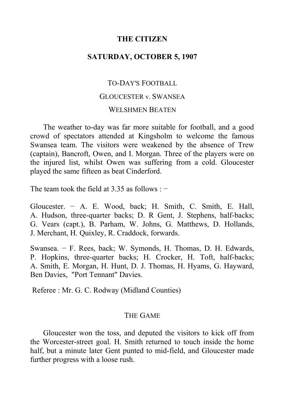## **THE CITIZEN**

## **SATURDAY, OCTOBER 5, 1907**

# TO-DAY'S FOOTBALL GLOUCESTER v. SWANSEA WELSHMEN BEATEN

The weather to-day was far more suitable for football, and a good crowd of spectators attended at Kingsholm to welcome the famous Swansea team. The visitors were weakened by the absence of Trew (captain), Bancroft, Owen, and I. Morgan. Three of the players were on the injured list, whilst Owen was suffering from a cold. Gloucester played the same fifteen as beat Cinderford.

The team took the field at 3.35 as follows : −

Gloucester. − A. E. Wood, back; H. Smith, C. Smith, E. Hall, A. Hudson, three-quarter backs; D. R Gent, J. Stephens, half-backs; G. Vears (capt.), B. Parham, W. Johns, G. Matthews, D. Hollands, J. Merchant, H. Quixley, R. Craddock, forwards.

Swansea. − F. Rees, back; W. Symonds, H. Thomas, D. H. Edwards, P. Hopkins, three-quarter backs; H. Crocker, H. Toft, half-backs; A. Smith, E. Morgan, H. Hunt, D. J. Thomas, H. Hyams, G. Hayward, Ben Davies, "Port Tennant" Davies.

Referee : Mr. G. C. Rodway (Midland Counties)

### THE GAME

Gloucester won the toss, and deputed the visitors to kick off from the Worcester-street goal. H. Smith returned to touch inside the home half, but a minute later Gent punted to mid-field, and Gloucester made further progress with a loose rush.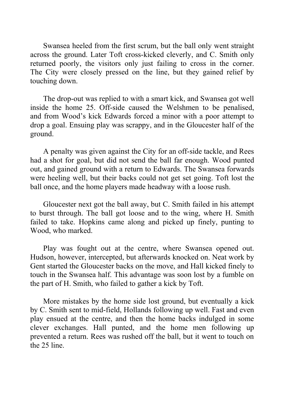Swansea heeled from the first scrum, but the ball only went straight across the ground. Later Toft cross-kicked cleverly, and C. Smith only returned poorly, the visitors only just failing to cross in the corner. The City were closely pressed on the line, but they gained relief by touching down.

The drop-out was replied to with a smart kick, and Swansea got well inside the home 25. Off-side caused the Welshmen to be penalised, and from Wood's kick Edwards forced a minor with a poor attempt to drop a goal. Ensuing play was scrappy, and in the Gloucester half of the ground.

A penalty was given against the City for an off-side tackle, and Rees had a shot for goal, but did not send the ball far enough. Wood punted out, and gained ground with a return to Edwards. The Swansea forwards were heeling well, but their backs could not get set going. Toft lost the ball once, and the home players made headway with a loose rush.

Gloucester next got the ball away, but C. Smith failed in his attempt to burst through. The ball got loose and to the wing, where H. Smith failed to take. Hopkins came along and picked up finely, punting to Wood, who marked.

Play was fought out at the centre, where Swansea opened out. Hudson, however, intercepted, but afterwards knocked on. Neat work by Gent started the Gloucester backs on the move, and Hall kicked finely to touch in the Swansea half. This advantage was soon lost by a fumble on the part of H. Smith, who failed to gather a kick by Toft.

More mistakes by the home side lost ground, but eventually a kick by C. Smith sent to mid-field, Hollands following up well. Fast and even play ensued at the centre, and then the home backs indulged in some clever exchanges. Hall punted, and the home men following up prevented a return. Rees was rushed off the ball, but it went to touch on the 25 line.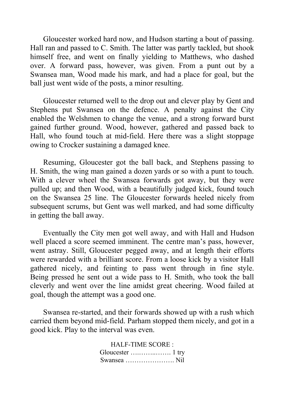Gloucester worked hard now, and Hudson starting a bout of passing. Hall ran and passed to C. Smith. The latter was partly tackled, but shook himself free, and went on finally yielding to Matthews, who dashed over. A forward pass, however, was given. From a punt out by a Swansea man, Wood made his mark, and had a place for goal, but the ball just went wide of the posts, a minor resulting.

Gloucester returned well to the drop out and clever play by Gent and Stephens put Swansea on the defence. A penalty against the City enabled the Welshmen to change the venue, and a strong forward burst gained further ground. Wood, however, gathered and passed back to Hall, who found touch at mid-field. Here there was a slight stoppage owing to Crocker sustaining a damaged knee.

Resuming, Gloucester got the ball back, and Stephens passing to H. Smith, the wing man gained a dozen yards or so with a punt to touch. With a clever wheel the Swansea forwards got away, but they were pulled up; and then Wood, with a beautifully judged kick, found touch on the Swansea 25 line. The Gloucester forwards heeled nicely from subsequent scrums, but Gent was well marked, and had some difficulty in getting the ball away.

Eventually the City men got well away, and with Hall and Hudson well placed a score seemed imminent. The centre man's pass, however, went astray. Still, Gloucester pegged away, and at length their efforts were rewarded with a brilliant score. From a loose kick by a visitor Hall gathered nicely, and feinting to pass went through in fine style. Being pressed he sent out a wide pass to H. Smith, who took the ball cleverly and went over the line amidst great cheering. Wood failed at goal, though the attempt was a good one.

Swansea re-started, and their forwards showed up with a rush which carried them beyond mid-field. Parham stopped them nicely, and got in a good kick. Play to the interval was even.

> HALF-TIME SCORE : Gloucester ….……..……. 1 try Swansea …………………. Nil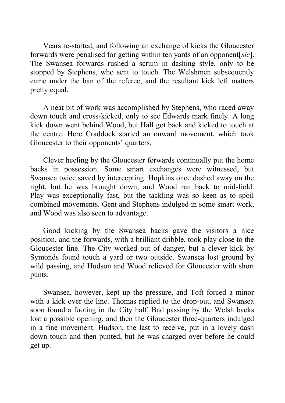Vears re-started, and following an exchange of kicks the Gloucester forwards were penalised for getting within ten yards of an opponent[*sic*]. The Swansea forwards rushed a scrum in dashing style, only to be stopped by Stephens, who sent to touch. The Welshmen subsequently came under the ban of the referee, and the resultant kick left matters pretty equal.

A neat bit of work was accomplished by Stephens, who raced away down touch and cross-kicked, only to see Edwards mark finely. A long kick down went behind Wood, but Hall got back and kicked to touch at the centre. Here Craddock started an onward movement, which took Gloucester to their opponents' quarters.

Clever heeling by the Gloucester forwards continually put the home backs in possession. Some smart exchanges were witnessed, but Swansea twice saved by intercepting. Hopkins once dashed away on the right, but he was brought down, and Wood ran back to mid-field. Play was exceptionally fast, but the tackling was so keen as to spoil combined movements. Gent and Stephens indulged in some smart work, and Wood was also seen to advantage.

Good kicking by the Swansea backs gave the visitors a nice position, and the forwards, with a brilliant dribble, took play close to the Gloucester line. The City worked out of danger, but a clever kick by Symonds found touch a yard or two outside. Swansea lost ground by wild passing, and Hudson and Wood relieved for Gloucester with short punts.

Swansea, however, kept up the pressure, and Toft forced a minor with a kick over the line. Thomas replied to the drop-out, and Swansea soon found a footing in the City half. Bad passing by the Welsh backs lost a possible opening, and then the Gloucester three-quarters indulged in a fine movement. Hudson, the last to receive, put in a lovely dash down touch and then punted, but he was charged over before he could get up.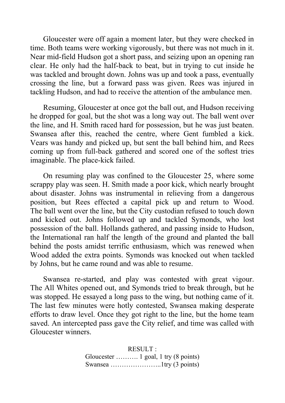Gloucester were off again a moment later, but they were checked in time. Both teams were working vigorously, but there was not much in it. Near mid-field Hudson got a short pass, and seizing upon an opening ran clear. He only had the half-back to beat, but in trying to cut inside he was tackled and brought down. Johns was up and took a pass, eventually crossing the line, but a forward pass was given. Rees was injured in tackling Hudson, and had to receive the attention of the ambulance men.

Resuming, Gloucester at once got the ball out, and Hudson receiving he dropped for goal, but the shot was a long way out. The ball went over the line, and H. Smith raced hard for possession, but he was just beaten. Swansea after this, reached the centre, where Gent fumbled a kick. Vears was handy and picked up, but sent the ball behind him, and Rees coming up from full-back gathered and scored one of the softest tries imaginable. The place-kick failed.

On resuming play was confined to the Gloucester 25, where some scrappy play was seen. H. Smith made a poor kick, which nearly brought about disaster. Johns was instrumental in relieving from a dangerous position, but Rees effected a capital pick up and return to Wood. The ball went over the line, but the City custodian refused to touch down and kicked out. Johns followed up and tackled Symonds, who lost possession of the ball. Hollands gathered, and passing inside to Hudson, the International ran half the length of the ground and planted the ball behind the posts amidst terrific enthusiasm, which was renewed when Wood added the extra points. Symonds was knocked out when tackled by Johns, but he came round and was able to resume.

Swansea re-started, and play was contested with great vigour. The All Whites opened out, and Symonds tried to break through, but he was stopped. He essayed a long pass to the wing, but nothing came of it. The last few minutes were hotly contested, Swansea making desperate efforts to draw level. Once they got right to the line, but the home team saved. An intercepted pass gave the City relief, and time was called with Gloucester winners.

> RESULT : Gloucester ………. 1 goal, 1 try (8 points) Swansea …………………..1try (3 points)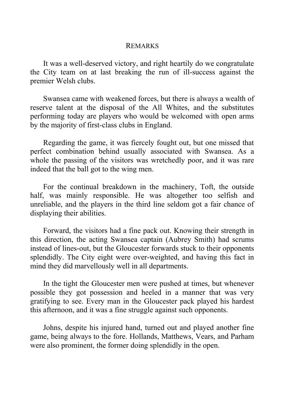### REMARKS

It was a well-deserved victory, and right heartily do we congratulate the City team on at last breaking the run of ill-success against the premier Welsh clubs.

Swansea came with weakened forces, but there is always a wealth of reserve talent at the disposal of the All Whites, and the substitutes performing today are players who would be welcomed with open arms by the majority of first-class clubs in England.

Regarding the game, it was fiercely fought out, but one missed that perfect combination behind usually associated with Swansea. As a whole the passing of the visitors was wretchedly poor, and it was rare indeed that the ball got to the wing men.

For the continual breakdown in the machinery, Toft, the outside half, was mainly responsible. He was altogether too selfish and unreliable, and the players in the third line seldom got a fair chance of displaying their abilities.

Forward, the visitors had a fine pack out. Knowing their strength in this direction, the acting Swansea captain (Aubrey Smith) had scrums instead of lines-out, but the Gloucester forwards stuck to their opponents splendidly. The City eight were over-weighted, and having this fact in mind they did marvellously well in all departments.

In the tight the Gloucester men were pushed at times, but whenever possible they got possession and heeled in a manner that was very gratifying to see. Every man in the Gloucester pack played his hardest this afternoon, and it was a fine struggle against such opponents.

Johns, despite his injured hand, turned out and played another fine game, being always to the fore. Hollands, Matthews, Vears, and Parham were also prominent, the former doing splendidly in the open.